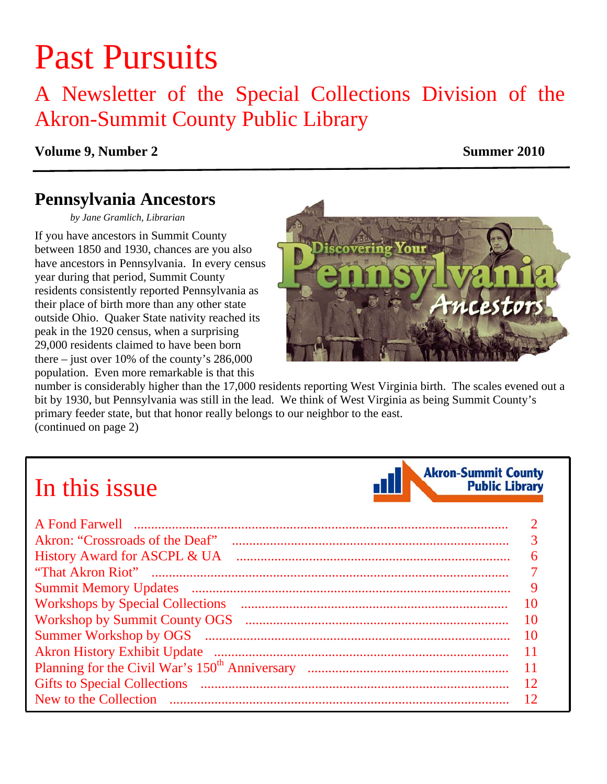# Past Pursuits

A Newsletter of the Special Collections Division of the Akron-Summit County Public Library

### **Volume 9, Number 2** Summer 2010

### **Pennsylvania Ancestors**

*by Jane Gramlich, Librarian* 

If you have ancestors in Summit County between 1850 and 1930, chances are you also have ancestors in Pennsylvania. In every census year during that period, Summit County residents consistently reported Pennsylvania as their place of birth more than any other state outside Ohio. Quaker State nativity reached its peak in the 1920 census, when a surprising 29,000 residents claimed to have been born there – just over 10% of the county's 286,000 population. Even more remarkable is that this



number is considerably higher than the 17,000 residents reporting West Virginia birth. The scales evened out a bit by 1930, but Pennsylvania was still in the lead. We think of West Virginia as being Summit County's primary feeder state, but that honor really belongs to our neighbor to the east. [\(continued on page 2\)](#page-1-0) 

## In this issue



| Akron: "Crossroads of the Deaf"         |    |
|-----------------------------------------|----|
| History Award for ASCPL & UA            | 6  |
|                                         |    |
|                                         | 9  |
| <b>Workshops by Special Collections</b> | 10 |
|                                         | 10 |
|                                         | 10 |
|                                         | 11 |
|                                         | 11 |
|                                         | 12 |
|                                         | 12 |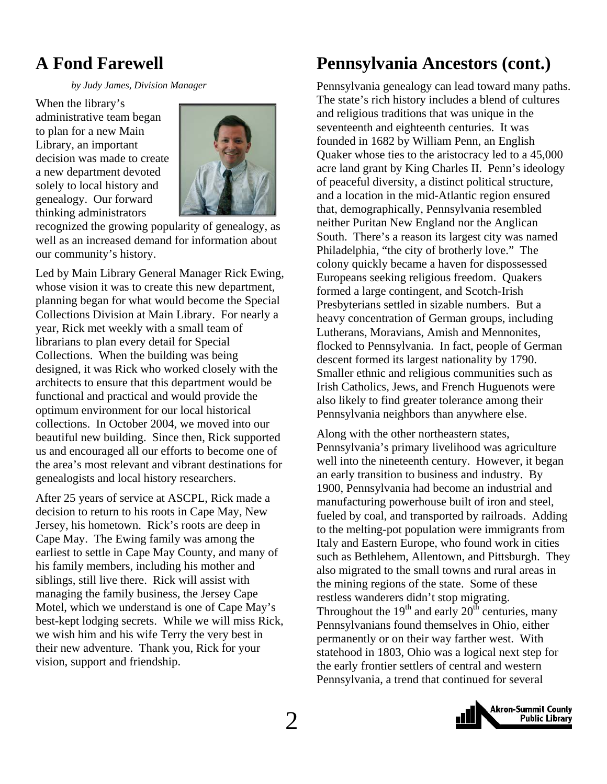### <span id="page-1-0"></span>**A Fond Farewell**

 *by Judy James, Division Manager* 

When the library's administrative team began to plan for a new Main Library, an important decision was made to create a new department devoted solely to local history and genealogy. Our forward thinking administrators



recognized the growing popularity of genealogy, as well as an increased demand for information about our community's history.

Led by Main Library General Manager Rick Ewing, whose vision it was to create this new department, planning began for what would become the Special Collections Division at Main Library. For nearly a year, Rick met weekly with a small team of librarians to plan every detail for Special Collections. When the building was being designed, it was Rick who worked closely with the architects to ensure that this department would be functional and practical and would provide the optimum environment for our local historical collections. In October 2004, we moved into our beautiful new building. Since then, Rick supported us and encouraged all our efforts to become one of the area's most relevant and vibrant destinations for genealogists and local history researchers.

After 25 years of service at ASCPL, Rick made a decision to return to his roots in Cape May, New Jersey, his hometown. Rick's roots are deep in Cape May. The Ewing family was among the earliest to settle in Cape May County, and many of his family members, including his mother and siblings, still live there. Rick will assist with managing the family business, the Jersey Cape Motel, which we understand is one of Cape May's best-kept lodging secrets. While we will miss Rick, we wish him and his wife Terry the very best in their new adventure. Thank you, Rick for your vision, support and friendship.

### **Pennsylvania Ancestors (cont.)**

Pennsylvania genealogy can lead toward many paths. The state's rich history includes a blend of cultures and religious traditions that was unique in the seventeenth and eighteenth centuries. It was founded in 1682 by William Penn, an English Quaker whose ties to the aristocracy led to a 45,000 acre land grant by King Charles II. Penn's ideology of peaceful diversity, a distinct political structure, and a location in the mid-Atlantic region ensured that, demographically, Pennsylvania resembled neither Puritan New England nor the Anglican South. There's a reason its largest city was named Philadelphia, "the city of brotherly love." The colony quickly became a haven for dispossessed Europeans seeking religious freedom. Quakers formed a large contingent, and Scotch-Irish Presbyterians settled in sizable numbers. But a heavy concentration of German groups, including Lutherans, Moravians, Amish and Mennonites, flocked to Pennsylvania. In fact, people of German descent formed its largest nationality by 1790. Smaller ethnic and religious communities such as Irish Catholics, Jews, and French Huguenots were also likely to find greater tolerance among their Pennsylvania neighbors than anywhere else.

Along with the other northeastern states, Pennsylvania's primary livelihood was agriculture well into the nineteenth century. However, it began an early transition to business and industry. By 1900, Pennsylvania had become an industrial and manufacturing powerhouse built of iron and steel, fueled by coal, and transported by railroads. Adding to the melting-pot population were immigrants from Italy and Eastern Europe, who found work in cities such as Bethlehem, Allentown, and Pittsburgh. They also migrated to the small towns and rural areas in the mining regions of the state. Some of these restless wanderers didn't stop migrating. Throughout the  $19<sup>th</sup>$  and early  $20<sup>th</sup>$  centuries, many Pennsylvanians found themselves in Ohio, either permanently or on their way farther west. With statehood in 1803, Ohio was a logical next step for the early frontier settlers of central and western Pennsylvania, a trend that continued for several

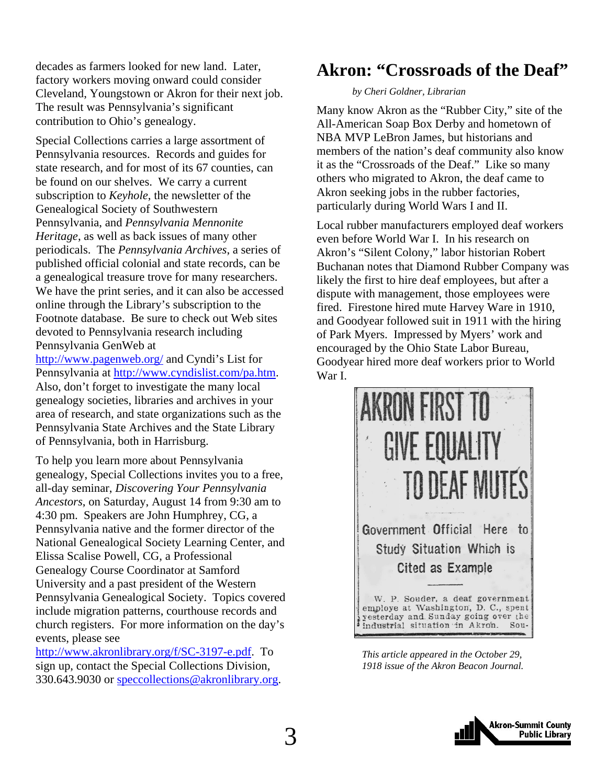<span id="page-2-0"></span>decades as farmers looked for new land. Later, factory workers moving onward could consider Cleveland, Youngstown or Akron for their next job. The result was Pennsylvania's significant contribution to Ohio's genealogy.

Special Collections carries a large assortment of Pennsylvania resources. Records and guides for state research, and for most of its 67 counties, can be found on our shelves. We carry a current subscription to *Keyhole*, the newsletter of the Genealogical Society of Southwestern Pennsylvania, and *Pennsylvania Mennonite Heritage*, as well as back issues of many other periodicals. The *Pennsylvania Archives*, a series of published official colonial and state records, can be a genealogical treasure trove for many researchers. We have the print series, and it can also be accessed online through the Library's subscription to the Footnote database. Be sure to check out Web sites devoted to Pennsylvania research including Pennsylvania GenWeb at

http://www.pagenweb.org/ and Cyndi's List for Pennsylvania at http://www.cyndislist.com/pa.htm. Also, don't forget to investigate the many local genealogy societies, libraries and archives in your area of research, and state organizations such as the Pennsylvania State Archives and the State Library of Pennsylvania, both in Harrisburg.

To help you learn more about Pennsylvania genealogy, Special Collections invites you to a free, all-day seminar, *Discovering Your Pennsylvania Ancestors*, on Saturday, August 14 from 9:30 am to 4:30 pm. Speakers are John Humphrey, CG, a Pennsylvania native and the former director of the National Genealogical Society Learning Center, and Elissa Scalise Powell, CG, a Professional Genealogy Course Coordinator at Samford University and a past president of the Western Pennsylvania Genealogical Society. Topics covered include migration patterns, courthouse records and church registers. For more information on the day's events, please see

http://www.akronlibrary.org/f/SC-3197-e.pdf. To sign up, contact the Special Collections Division, 330.643.9030 or speccollections@akronlibrary.org.

### **Akron: "Crossroads of the Deaf"**

#### *by Cheri Goldner, Librarian*

Many know Akron as the "Rubber City," site of the All-American Soap Box Derby and hometown of NBA MVP LeBron James, but historians and members of the nation's deaf community also know it as the "Crossroads of the Deaf." Like so many others who migrated to Akron, the deaf came to Akron seeking jobs in the rubber factories, particularly during World Wars I and II.

Local rubber manufacturers employed deaf workers even before World War I. In his research on Akron's "Silent Colony," labor historian Robert Buchanan notes that Diamond Rubber Company was likely the first to hire deaf employees, but after a dispute with management, those employees were fired. Firestone hired mute Harvey Ware in 1910, and Goodyear followed suit in 1911 with the hiring of Park Myers. Impressed by Myers' work and encouraged by the Ohio State Labor Bureau, Goodyear hired more deaf workers prior to World War I.



*This article appeared in the October 29, 1918 issue of the Akron Beacon Journal.* 

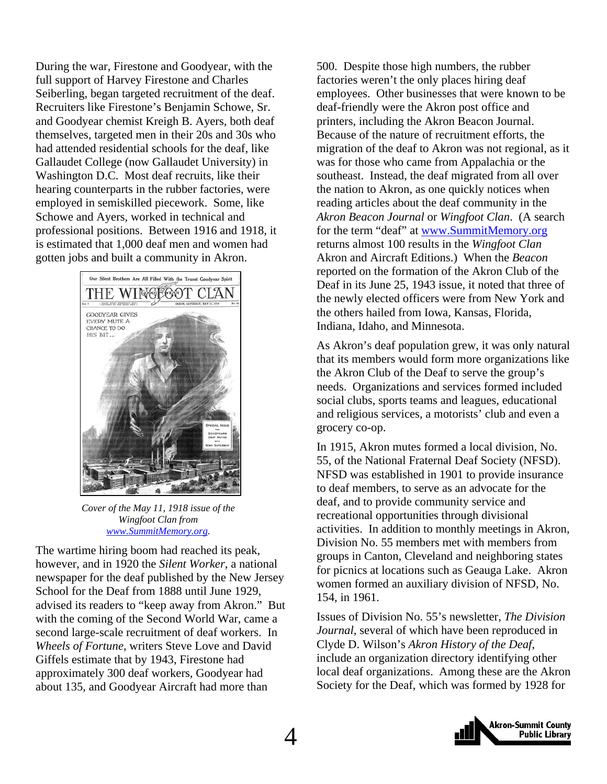During the war, Firestone and Goodyear, with the full support of Harvey Firestone and Charles Seiberling, began targeted recruitment of the deaf. Recruiters like Firestone's Benjamin Schowe, Sr. and Goodyear chemist Kreigh B. Ayers, both deaf themselves, targeted men in their 20s and 30s who had attended residential schools for the deaf, like Gallaudet College (now Gallaudet University) in Washington D.C. Most deaf recruits, like their hearing counterparts in the rubber factories, were employed in semiskilled piecework. Some, like Schowe and Ayers, worked in technical and professional positions. Between 1916 and 1918, it is estimated that 1,000 deaf men and women had gotten jobs and built a community in Akron.



*Cover of the May 11, 1918 issue of the Wingfoot Clan from www.SummitMemory.org.* 

The wartime hiring boom had reached its peak, however, and in 1920 the *Silent Worker*, a national newspaper for the deaf published by the New Jersey School for the Deaf from 1888 until June 1929, advised its readers to "keep away from Akron." But with the coming of the Second World War, came a second large-scale recruitment of deaf workers. In *Wheels of Fortune*, writers Steve Love and David Giffels estimate that by 1943, Firestone had approximately 300 deaf workers, Goodyear had about 135, and Goodyear Aircraft had more than

500. Despite those high numbers, the rubber factories weren't the only places hiring deaf employees. Other businesses that were known to be deaf-friendly were the Akron post office and printers, including the Akron Beacon Journal. Because of the nature of recruitment efforts, the migration of the deaf to Akron was not regional, as it was for those who came from Appalachia or the southeast. Instead, the deaf migrated from all over the nation to Akron, as one quickly notices when reading articles about the deaf community in the *Akron Beacon Journal* or *Wingfoot Clan*. (A search for the term "deaf" at www.SummitMemory.org returns almost 100 results in the *Wingfoot Clan* Akron and Aircraft Editions.) When the *Beacon*  reported on the formation of the Akron Club of the Deaf in its June 25, 1943 issue, it noted that three of the newly elected officers were from New York and the others hailed from Iowa, Kansas, Florida, Indiana, Idaho, and Minnesota.

As Akron's deaf population grew, it was only natural that its members would form more organizations like the Akron Club of the Deaf to serve the group's needs. Organizations and services formed included social clubs, sports teams and leagues, educational and religious services, a motorists' club and even a grocery co-op.

In 1915, Akron mutes formed a local division, No. 55, of the National Fraternal Deaf Society (NFSD). NFSD was established in 1901 to provide insurance to deaf members, to serve as an advocate for the deaf, and to provide community service and recreational opportunities through divisional activities.In addition to monthly meetings in Akron, Division No. 55 members met with members from groups in Canton, Cleveland and neighboring states for picnics at locations such as Geauga Lake. Akron women formed an auxiliary division of NFSD, No. 154, in 1961.

Issues of Division No. 55's newsletter, *The Division Journal*, several of which have been reproduced in Clyde D. Wilson's *Akron History of the Deaf*, include an organization directory identifying other local deaf organizations. Among these are the Akron Society for the Deaf, which was formed by 1928 for

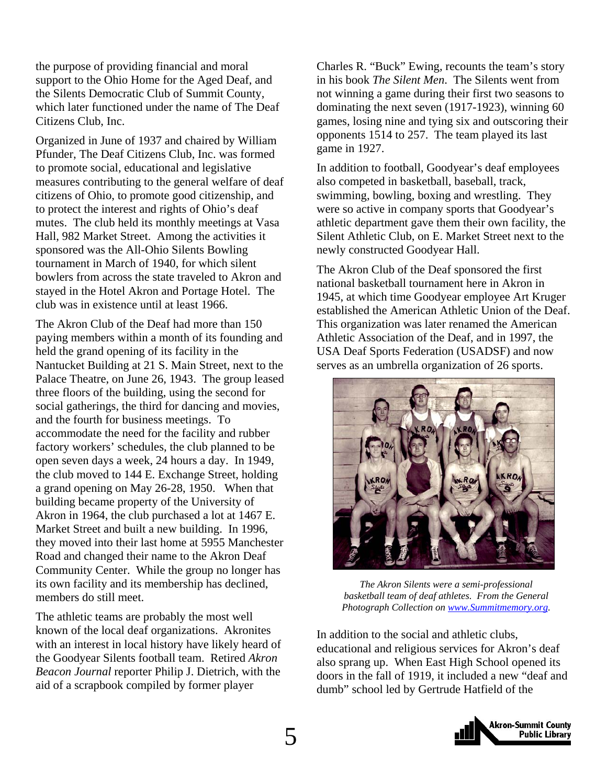the purpose of providing financial and moral support to the Ohio Home for the Aged Deaf, and the Silents Democratic Club of Summit County, which later functioned under the name of The Deaf Citizens Club, Inc.

Organized in June of 1937 and chaired by William Pfunder, The Deaf Citizens Club, Inc. was formed to promote social, educational and legislative measures contributing to the general welfare of deaf citizens of Ohio, to promote good citizenship, and to protect the interest and rights of Ohio's deaf mutes. The club held its monthly meetings at Vasa Hall, 982 Market Street. Among the activities it sponsored was the All-Ohio Silents Bowling tournament in March of 1940, for which silent bowlers from across the state traveled to Akron and stayed in the Hotel Akron and Portage Hotel. The club was in existence until at least 1966.

The Akron Club of the Deaf had more than 150 paying members within a month of its founding and held the grand opening of its facility in the Nantucket Building at 21 S. Main Street, next to the Palace Theatre, on June 26, 1943. The group leased three floors of the building, using the second for social gatherings, the third for dancing and movies, and the fourth for business meetings. To accommodate the need for the facility and rubber factory workers' schedules, the club planned to be open seven days a week, 24 hours a day. In 1949, the club moved to 144 E. Exchange Street, holding a grand opening on May 26-28, 1950. When that building became property of the University of Akron in 1964, the club purchased a lot at 1467 E. Market Street and built a new building. In 1996, they moved into their last home at 5955 Manchester Road and changed their name to the Akron Deaf Community Center. While the group no longer has its own facility and its membership has declined, members do still meet.

The athletic teams are probably the most well known of the local deaf organizations. Akronites with an interest in local history have likely heard of the Goodyear Silents football team. Retired *Akron Beacon Journal* reporter Philip J. Dietrich, with the aid of a scrapbook compiled by former player

Charles R. "Buck" Ewing, recounts the team's story in his book *The Silent Men*. The Silents went from not winning a game during their first two seasons to dominating the next seven (1917-1923), winning 60 games, losing nine and tying six and outscoring their opponents 1514 to 257. The team played its last game in 1927.

In addition to football, Goodyear's deaf employees also competed in basketball, baseball, track, swimming, bowling, boxing and wrestling. They were so active in company sports that Goodyear's athletic department gave them their own facility, the Silent Athletic Club, on E. Market Street next to the newly constructed Goodyear Hall.

The Akron Club of the Deaf sponsored the first national basketball tournament here in Akron in 1945, at which time Goodyear employee Art Kruger established the American Athletic Union of the Deaf. This organization was later renamed the American Athletic Association of the Deaf, and in 1997, the USA Deaf Sports Federation (USADSF) and now serves as an umbrella organization of 26 sports.



*The Akron Silents were a semi-professional basketball team of deaf athletes. From the General Photograph Collection on www.Summitmemory.org.* 

In addition to the social and athletic clubs, educational and religious services for Akron's deaf also sprang up. When East High School opened its doors in the fall of 1919, it included a new "deaf and dumb" school led by Gertrude Hatfield of the

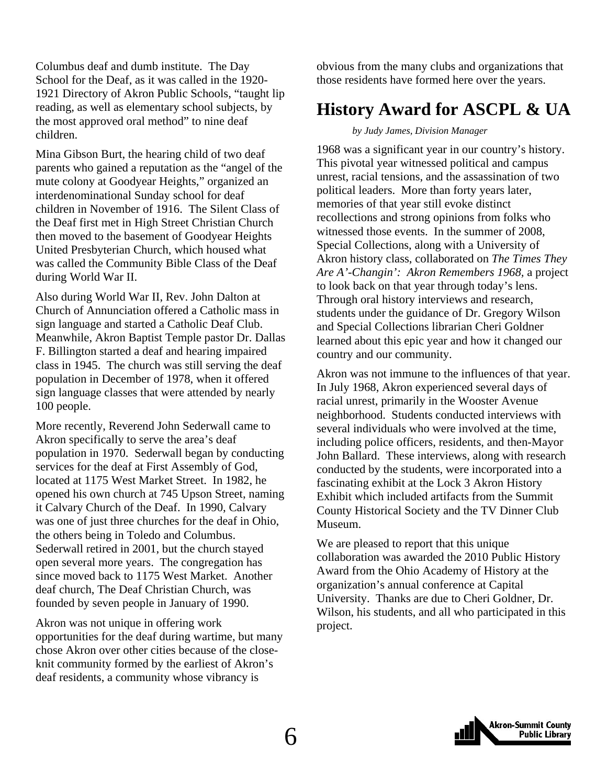<span id="page-5-0"></span>Columbus deaf and dumb institute. The Day School for the Deaf, as it was called in the 1920- 1921 Directory of Akron Public Schools, "taught lip reading, as well as elementary school subjects, by the most approved oral method" to nine deaf children.

Mina Gibson Burt, the hearing child of two deaf parents who gained a reputation as the "angel of the mute colony at Goodyear Heights," organized an interdenominational Sunday school for deaf children in November of 1916. The Silent Class of the Deaf first met in High Street Christian Church then moved to the basement of Goodyear Heights United Presbyterian Church, which housed what was called the Community Bible Class of the Deaf during World War II.

Also during World War II, Rev. John Dalton at Church of Annunciation offered a Catholic mass in sign language and started a Catholic Deaf Club. Meanwhile, Akron Baptist Temple pastor Dr. Dallas F. Billington started a deaf and hearing impaired class in 1945. The church was still serving the deaf population in December of 1978, when it offered sign language classes that were attended by nearly 100 people.

More recently, Reverend John Sederwall came to Akron specifically to serve the area's deaf population in 1970. Sederwall began by conducting services for the deaf at First Assembly of God, located at 1175 West Market Street. In 1982, he opened his own church at 745 Upson Street, naming it Calvary Church of the Deaf. In 1990, Calvary was one of just three churches for the deaf in Ohio, the others being in Toledo and Columbus. Sederwall retired in 2001, but the church stayed open several more years. The congregation has since moved back to 1175 West Market. Another deaf church, The Deaf Christian Church, was founded by seven people in January of 1990.

Akron was not unique in offering work opportunities for the deaf during wartime, but many chose Akron over other cities because of the closeknit community formed by the earliest of Akron's deaf residents, a community whose vibrancy is

obvious from the many clubs and organizations that those residents have formed here over the years.

### **History Award for ASCPL & UA**

#### *by Judy James, Division Manager*

1968 was a significant year in our country's history. This pivotal year witnessed political and campus unrest, racial tensions, and the assassination of two political leaders. More than forty years later, memories of that year still evoke distinct recollections and strong opinions from folks who witnessed those events. In the summer of 2008, Special Collections, along with a University of Akron history class, collaborated on *The Times They Are A'-Changin': Akron Remembers 1968,* a project to look back on that year through today's lens. Through oral history interviews and research, students under the guidance of Dr. Gregory Wilson and Special Collections librarian Cheri Goldner learned about this epic year and how it changed our country and our community.

Akron was not immune to the influences of that year. In July 1968, Akron experienced several days of racial unrest, primarily in the Wooster Avenue neighborhood. Students conducted interviews with several individuals who were involved at the time, including police officers, residents, and then-Mayor John Ballard. These interviews, along with research conducted by the students, were incorporated into a fascinating exhibit at the Lock 3 Akron History Exhibit which included artifacts from the Summit County Historical Society and the TV Dinner Club Museum.

We are pleased to report that this unique collaboration was awarded the 2010 Public History Award from the Ohio Academy of History at the organization's annual conference at Capital University. Thanks are due to Cheri Goldner, Dr. Wilson, his students, and all who participated in this project.

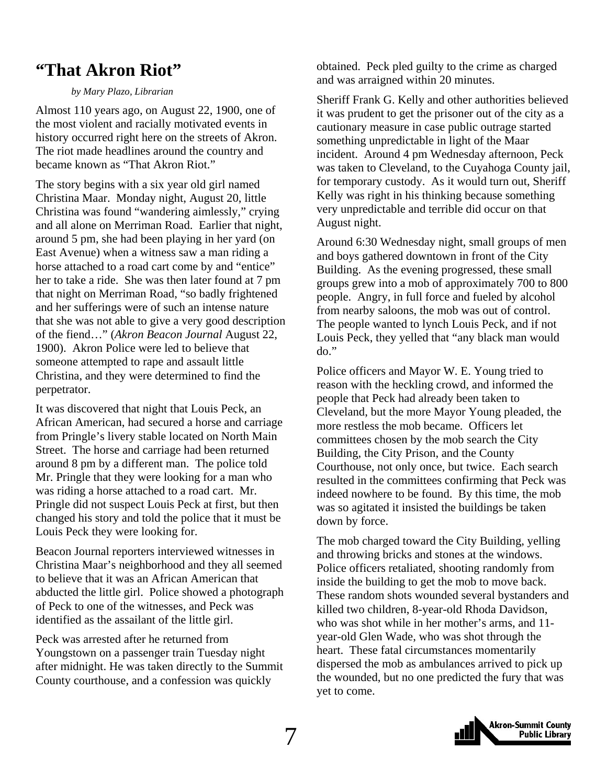### <span id="page-6-0"></span>**"That Akron Riot"**

#### *by Mary Plazo, Librarian*

Almost 110 years ago, on August 22, 1900, one of the most violent and racially motivated events in history occurred right here on the streets of Akron. The riot made headlines around the country and became known as "That Akron Riot."

The story begins with a six year old girl named Christina Maar. Monday night, August 20, little Christina was found "wandering aimlessly," crying and all alone on Merriman Road. Earlier that night, around 5 pm, she had been playing in her yard (on East Avenue) when a witness saw a man riding a horse attached to a road cart come by and "entice" her to take a ride. She was then later found at 7 pm that night on Merriman Road, "so badly frightened and her sufferings were of such an intense nature that she was not able to give a very good description of the fiend…" (*Akron Beacon Journal* August 22, 1900). Akron Police were led to believe that someone attempted to rape and assault little Christina, and they were determined to find the perpetrator.

It was discovered that night that Louis Peck, an African American, had secured a horse and carriage from Pringle's livery stable located on North Main Street. The horse and carriage had been returned around 8 pm by a different man. The police told Mr. Pringle that they were looking for a man who was riding a horse attached to a road cart. Mr. Pringle did not suspect Louis Peck at first, but then changed his story and told the police that it must be Louis Peck they were looking for.

Beacon Journal reporters interviewed witnesses in Christina Maar's neighborhood and they all seemed to believe that it was an African American that abducted the little girl. Police showed a photograph of Peck to one of the witnesses, and Peck was identified as the assailant of the little girl.

Peck was arrested after he returned from Youngstown on a passenger train Tuesday night after midnight. He was taken directly to the Summit County courthouse, and a confession was quickly

obtained. Peck pled guilty to the crime as charged and was arraigned within 20 minutes.

Sheriff Frank G. Kelly and other authorities believed it was prudent to get the prisoner out of the city as a cautionary measure in case public outrage started something unpredictable in light of the Maar incident. Around 4 pm Wednesday afternoon, Peck was taken to Cleveland, to the Cuyahoga County jail, for temporary custody. As it would turn out, Sheriff Kelly was right in his thinking because something very unpredictable and terrible did occur on that August night.

Around 6:30 Wednesday night, small groups of men and boys gathered downtown in front of the City Building. As the evening progressed, these small groups grew into a mob of approximately 700 to 800 people. Angry, in full force and fueled by alcohol from nearby saloons, the mob was out of control. The people wanted to lynch Louis Peck, and if not Louis Peck, they yelled that "any black man would do."

Police officers and Mayor W. E. Young tried to reason with the heckling crowd, and informed the people that Peck had already been taken to Cleveland, but the more Mayor Young pleaded, the more restless the mob became. Officers let committees chosen by the mob search the City Building, the City Prison, and the County Courthouse, not only once, but twice. Each search resulted in the committees confirming that Peck was indeed nowhere to be found. By this time, the mob was so agitated it insisted the buildings be taken down by force.

The mob charged toward the City Building, yelling and throwing bricks and stones at the windows. Police officers retaliated, shooting randomly from inside the building to get the mob to move back. These random shots wounded several bystanders and killed two children, 8-year-old Rhoda Davidson, who was shot while in her mother's arms, and 11 year-old Glen Wade, who was shot through the heart. These fatal circumstances momentarily dispersed the mob as ambulances arrived to pick up the wounded, but no one predicted the fury that was yet to come.

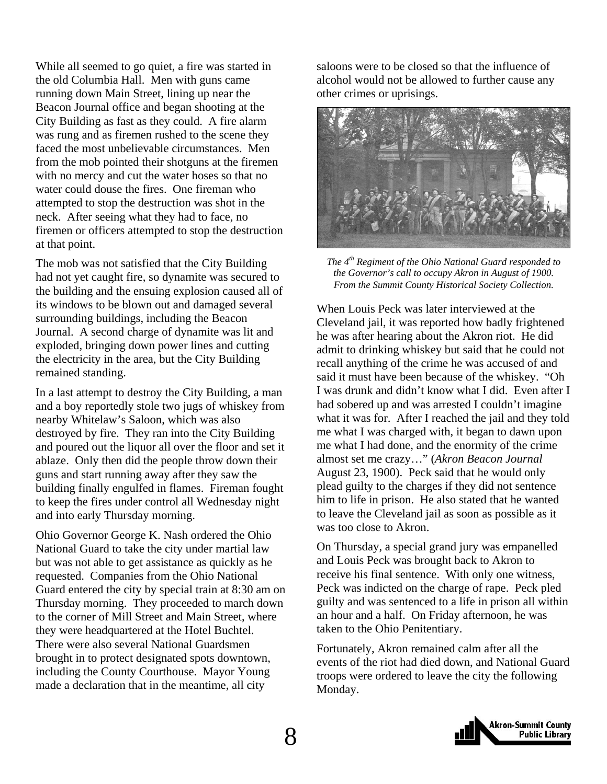While all seemed to go quiet, a fire was started in the old Columbia Hall. Men with guns came running down Main Street, lining up near the Beacon Journal office and began shooting at the City Building as fast as they could. A fire alarm was rung and as firemen rushed to the scene they faced the most unbelievable circumstances. Men from the mob pointed their shotguns at the firemen with no mercy and cut the water hoses so that no water could douse the fires. One fireman who attempted to stop the destruction was shot in the neck. After seeing what they had to face, no firemen or officers attempted to stop the destruction at that point.

The mob was not satisfied that the City Building had not yet caught fire, so dynamite was secured to the building and the ensuing explosion caused all of its windows to be blown out and damaged several surrounding buildings, including the Beacon Journal. A second charge of dynamite was lit and exploded, bringing down power lines and cutting the electricity in the area, but the City Building remained standing.

In a last attempt to destroy the City Building, a man and a boy reportedly stole two jugs of whiskey from nearby Whitelaw's Saloon, which was also destroyed by fire. They ran into the City Building and poured out the liquor all over the floor and set it ablaze. Only then did the people throw down their guns and start running away after they saw the building finally engulfed in flames. Fireman fought to keep the fires under control all Wednesday night and into early Thursday morning.

Ohio Governor George K. Nash ordered the Ohio National Guard to take the city under martial law but was not able to get assistance as quickly as he requested. Companies from the Ohio National Guard entered the city by special train at 8:30 am on Thursday morning. They proceeded to march down to the corner of Mill Street and Main Street, where they were headquartered at the Hotel Buchtel. There were also several National Guardsmen brought in to protect designated spots downtown, including the County Courthouse. Mayor Young made a declaration that in the meantime, all city

saloons were to be closed so that the influence of alcohol would not be allowed to further cause any other crimes or uprisings.



*The 4th Regiment of the Ohio National Guard responded to the Governor's call to occupy Akron in August of 1900. From the Summit County Historical Society Collection.* 

When Louis Peck was later interviewed at the Cleveland jail, it was reported how badly frightened he was after hearing about the Akron riot. He did admit to drinking whiskey but said that he could not recall anything of the crime he was accused of and said it must have been because of the whiskey. "Oh I was drunk and didn't know what I did. Even after I had sobered up and was arrested I couldn't imagine what it was for. After I reached the jail and they told me what I was charged with, it began to dawn upon me what I had done, and the enormity of the crime almost set me crazy…" (*Akron Beacon Journal* August 23, 1900). Peck said that he would only plead guilty to the charges if they did not sentence him to life in prison. He also stated that he wanted to leave the Cleveland jail as soon as possible as it was too close to Akron.

On Thursday, a special grand jury was empanelled and Louis Peck was brought back to Akron to receive his final sentence. With only one witness, Peck was indicted on the charge of rape. Peck pled guilty and was sentenced to a life in prison all within an hour and a half. On Friday afternoon, he was taken to the Ohio Penitentiary.

Fortunately, Akron remained calm after all the events of the riot had died down, and National Guard troops were ordered to leave the city the following Monday.

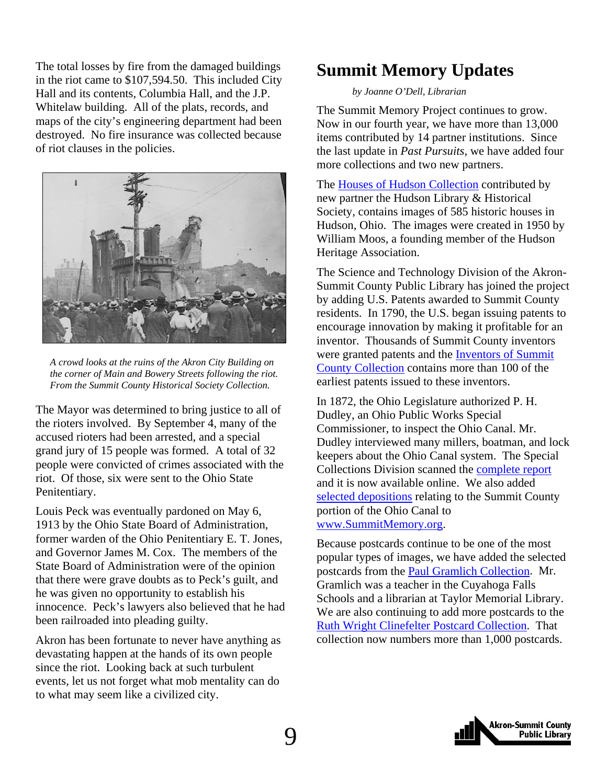<span id="page-8-0"></span>The total losses by fire from the damaged buildings in the riot came to \$107,594.50. This included City Hall and its contents, Columbia Hall, and the J.P. Whitelaw building. All of the plats, records, and maps of the city's engineering department had been destroyed. No fire insurance was collected because of riot clauses in the policies.



*A crowd looks at the ruins of the Akron City Building on the corner of Main and Bowery Streets following the riot. From the Summit County Historical Society Collection.* 

The Mayor was determined to bring justice to all of the rioters involved. By September 4, many of the accused rioters had been arrested, and a special grand jury of 15 people was formed. A total of 32 people were convicted of crimes associated with the riot. Of those, six were sent to the Ohio State Penitentiary.

Louis Peck was eventually pardoned on May 6, 1913 by the Ohio State Board of Administration, former warden of the Ohio Penitentiary E. T. Jones, and Governor James M. Cox. The members of the State Board of Administration were of the opinion that there were grave doubts as to Peck's guilt, and he was given no opportunity to establish his innocence. Peck's lawyers also believed that he had been railroaded into pleading guilty.

Akron has been fortunate to never have anything as devastating happen at the hands of its own people since the riot. Looking back at such turbulent events, let us not forget what mob mentality can do to what may seem like a civilized city.

### **Summit Memory Updates**

#### *by Joanne O'Dell, Librarian*

The Summit Memory Project continues to grow. Now in our fourth year, we have more than 13,000 items contributed by 14 partner institutions. Since the last update in *Past Pursuits*, we have added four more collections and two new partners.

The [Houses of Hudson Collection](http://www.summitmemory.org/cdm4/browse.php) contributed by new partner the Hudson Library & Historical Society, contains images of 585 historic houses in Hudson, Ohio. The images were created in 1950 by William Moos, a founding member of the Hudson Heritage Association.

The Science and Technology Division of the Akron-Summit County Public Library has joined the project by adding U.S. Patents awarded to Summit County residents. In 1790, the U.S. began issuing patents to encourage innovation by making it profitable for an inventor. Thousands of Summit County inventors [were granted patents and the Inventors of Summit](http://www.summitmemory.org/cdm4/browse.php) County Collection contains more than 100 of the earliest patents issued to these inventors.

In 1872, the Ohio Legislature authorized P. H. Dudley, an Ohio Public Works Special Commissioner, to inspect the Ohio Canal. Mr. Dudley interviewed many millers, boatman, and lock keepers about the Ohio Canal system. The Special Collections Division scanned the [complete report](http://www.akronlibrary.org/internetresources/sc/OnlineBooks/onlinebks.html) and it is now available online. We also added [selected depositions](http://www.summitmemory.org/cdm4/browse.php) relating to the Summit County portion of the Ohio Canal to www.SummitMemory.org.

Because postcards continue to be one of the most popular types of images, we have added the selected postcards from the [Paul Gramlich Collection.](http://www.summitmemory.org/cdm4/browse.php) Mr. Gramlich was a teacher in the Cuyahoga Falls Schools and a librarian at Taylor Memorial Library. We are also continuing to add more postcards to the [Ruth Wright Clinefelter Postcard Collection.](http://www.summitmemory.org/cdm4/browse.php) That collection now numbers more than 1,000 postcards.

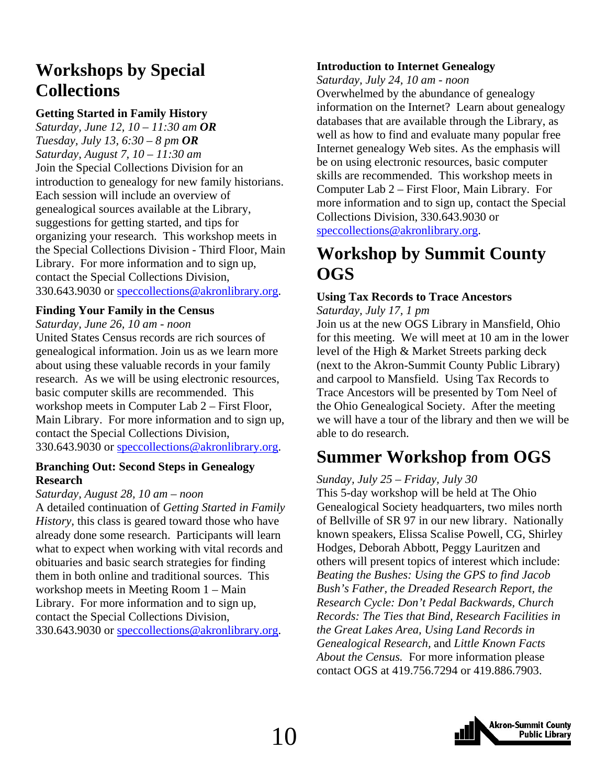### <span id="page-9-0"></span>**Workshops by Special Collections**

#### **Getting Started in Family History**

*Saturday, June 12, 10 – 11:30 am OR Tuesday, July 13, 6:30 – 8 pm OR Saturday, August 7, 10 – 11:30 am*  Join the Special Collections Division for an introduction to genealogy for new family historians. Each session will include an overview of genealogical sources available at the Library, suggestions for getting started, and tips for organizing your research. This workshop meets in the Special Collections Division - Third Floor, Main Library. For more information and to sign up, contact the Special Collections Division, 330.643.9030 or speccollections@akronlibrary.org.

#### **Finding Your Family in the Census**

*Saturday, June 26, 10 am - noon* 

United States Census records are rich sources of genealogical information. Join us as we learn more about using these valuable records in your family research. As we will be using electronic resources, basic computer skills are recommended. This workshop meets in Computer Lab 2 – First Floor, Main Library. For more information and to sign up, contact the Special Collections Division, 330.643.9030 or speccollections@akronlibrary.org.

#### **Branching Out: Second Steps in Genealogy Research**

#### *Saturday, August 28, 10 am – noon*

A detailed continuation of *Getting Started in Family History,* this class is geared toward those who have already done some research. Participants will learn what to expect when working with vital records and obituaries and basic search strategies for finding them in both online and traditional sources. This workshop meets in Meeting Room 1 – Main Library. For more information and to sign up, contact the Special Collections Division, 330.643.9030 or speccollections@akronlibrary.org.

#### **Introduction to Internet Genealogy**

*Saturday, July 24, 10 am - noon* 

Overwhelmed by the abundance of genealogy information on the Internet? Learn about genealogy databases that are available through the Library, as well as how to find and evaluate many popular free Internet genealogy Web sites. As the emphasis will be on using electronic resources, basic computer skills are recommended. This workshop meets in Computer Lab 2 – First Floor, Main Library. For more information and to sign up, contact the Special Collections Division, 330.643.9030 or speccollections@akronlibrary.org.

### **Workshop by Summit County OGS**

#### **Using Tax Records to Trace Ancestors**

*Saturday, July 17, 1 pm* 

Join us at the new OGS Library in Mansfield, Ohio for this meeting. We will meet at 10 am in the lower level of the High & Market Streets parking deck (next to the Akron-Summit County Public Library) and carpool to Mansfield. Using Tax Records to Trace Ancestors will be presented by Tom Neel of the Ohio Genealogical Society. After the meeting we will have a tour of the library and then we will be able to do research.

### **Summer Workshop from OGS**

#### *Sunday, July 25 – Friday, July 30*

This 5-day workshop will be held at The Ohio Genealogical Society headquarters, two miles north of Bellville of SR 97 in our new library. Nationally known speakers, Elissa Scalise Powell, CG, Shirley Hodges, Deborah Abbott, Peggy Lauritzen and others will present topics of interest which include: *Beating the Bushes: Using the GPS to find Jacob Bush's Father, the Dreaded Research Report, the Research Cycle: Don't Pedal Backwards, Church Records: The Ties that Bind, Research Facilities in the Great Lakes Area, Using Land Records in Genealogical Research,* and *Little Known Facts About the Census.* For more information please contact OGS at 419.756.7294 or 419.886.7903.

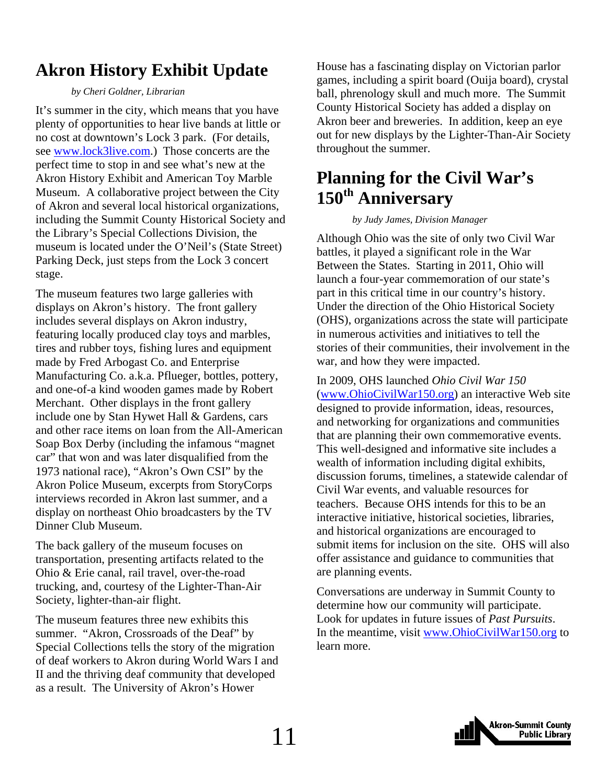### <span id="page-10-0"></span>**Akron History Exhibit Update**

#### *by Cheri Goldner, Librarian*

It's summer in the city, which means that you have plenty of opportunities to hear live bands at little or no cost at downtown's Lock 3 park. (For details, see www.lock3live.com.) Those concerts are the perfect time to stop in and see what's new at the Akron History Exhibit and American Toy Marble Museum. A collaborative project between the City of Akron and several local historical organizations, including the Summit County Historical Society and the Library's Special Collections Division, the museum is located under the O'Neil's (State Street) Parking Deck, just steps from the Lock 3 concert stage.

The museum features two large galleries with displays on Akron's history. The front gallery includes several displays on Akron industry, featuring locally produced clay toys and marbles, tires and rubber toys, fishing lures and equipment made by Fred Arbogast Co. and Enterprise Manufacturing Co. a.k.a. Pflueger, bottles, pottery, and one-of-a kind wooden games made by Robert Merchant. Other displays in the front gallery include one by Stan Hywet Hall & Gardens, cars and other race items on loan from the All-American Soap Box Derby (including the infamous "magnet car" that won and was later disqualified from the 1973 national race), "Akron's Own CSI" by the Akron Police Museum, excerpts from StoryCorps interviews recorded in Akron last summer, and a display on northeast Ohio broadcasters by the TV Dinner Club Museum.

The back gallery of the museum focuses on transportation, presenting artifacts related to the Ohio & Erie canal, rail travel, over-the-road trucking, and, courtesy of the Lighter-Than-Air Society, lighter-than-air flight.

The museum features three new exhibits this summer. "Akron, Crossroads of the Deaf" by Special Collections tells the story of the migration of deaf workers to Akron during World Wars I and II and the thriving deaf community that developed as a result. The University of Akron's Hower

House has a fascinating display on Victorian parlor games, including a spirit board (Ouija board), crystal ball, phrenology skull and much more. The Summit County Historical Society has added a display on Akron beer and breweries. In addition, keep an eye out for new displays by the Lighter-Than-Air Society throughout the summer.

### **Planning for the Civil War's 150th Anniversary**

#### *by Judy James, Division Manager*

Although Ohio was the site of only two Civil War battles, it played a significant role in the War Between the States. Starting in 2011, Ohio will launch a four-year commemoration of our state's part in this critical time in our country's history. Under the direction of the Ohio Historical Society (OHS), organizations across the state will participate in numerous activities and initiatives to tell the stories of their communities, their involvement in the war, and how they were impacted.

In 2009, OHS launched *Ohio Civil War 150* (www.OhioCivilWar150.org) an interactive Web site designed to provide information, ideas, resources, and networking for organizations and communities that are planning their own commemorative events. This well-designed and informative site includes a wealth of information including digital exhibits, discussion forums, timelines, a statewide calendar of Civil War events, and valuable resources for teachers. Because OHS intends for this to be an interactive initiative, historical societies, libraries, and historical organizations are encouraged to submit items for inclusion on the site. OHS will also offer assistance and guidance to communities that are planning events.

Conversations are underway in Summit County to determine how our community will participate. Look for updates in future issues of *Past Pursuits*. In the meantime, visit www.OhioCivilWar150.org to learn more.

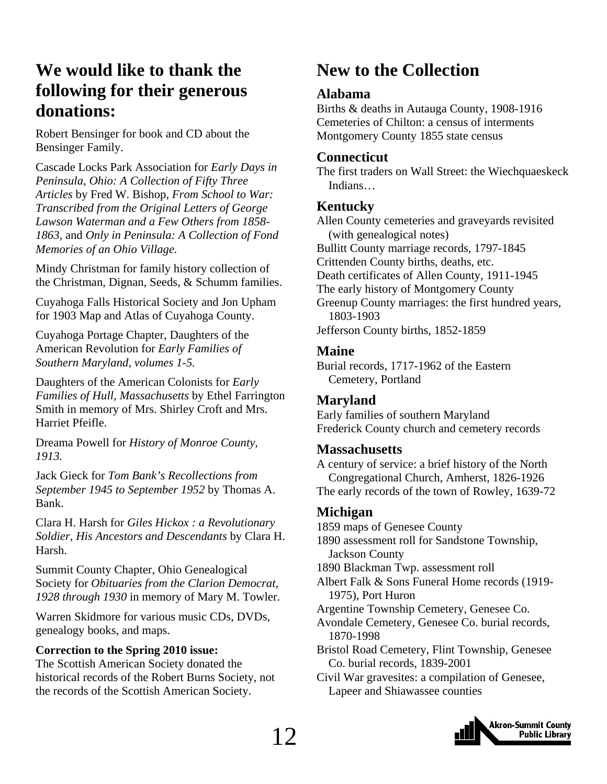### <span id="page-11-0"></span>**We would like to thank the following for their generous donations:**

Robert Bensinger for book and CD about the Bensinger Family.

Cascade Locks Park Association for *Early Days in Peninsula, Ohio: A Collection of Fifty Three Articles* by Fred W. Bishop, *From School to War: Transcribed from the Original Letters of George Lawson Waterman and a Few Others from 1858- 1863,* and *Only in Peninsula: A Collection of Fond Memories of an Ohio Village.* 

Mindy Christman for family history collection of the Christman, Dignan, Seeds, & Schumm families.

Cuyahoga Falls Historical Society and Jon Upham for 1903 Map and Atlas of Cuyahoga County.

Cuyahoga Portage Chapter, Daughters of the American Revolution for *Early Families of Southern Maryland, volumes 1-5.* 

Daughters of the American Colonists for *Early Families of Hull, Massachusetts* by Ethel Farrington Smith in memory of Mrs. Shirley Croft and Mrs. Harriet Pfeifle.

Dreama Powell for *History of Monroe County, 1913.* 

Jack Gieck for *Tom Bank's Recollections from September 1945 to September 1952* by Thomas A. Bank.

Clara H. Harsh for *Giles Hickox : a Revolutionary Soldier, His Ancestors and Descendants* by Clara H. Harsh.

Summit County Chapter, Ohio Genealogical Society for *Obituaries from the Clarion Democrat, 1928 through 1930* in memory of Mary M. Towler.

Warren Skidmore for various music CDs, DVDs, genealogy books, and maps.

#### **Correction to the Spring 2010 issue:**

The Scottish American Society donated the historical records of the Robert Burns Society, not the records of the Scottish American Society.

### **New to the Collection**

### **Alabama**

Births & deaths in Autauga County, 1908-1916 Cemeteries of Chilton: a census of interments Montgomery County 1855 state census

### **Connecticut**

The first traders on Wall Street: the Wiechquaeskeck Indians…

### **Kentucky**

Allen County cemeteries and graveyards revisited (with genealogical notes) Bullitt County marriage records, 1797-1845 Crittenden County births, deaths, etc. Death certificates of Allen County, 1911-1945 The early history of Montgomery County Greenup County marriages: the first hundred years, 1803-1903 Jefferson County births, 1852-1859

### **Maine**

Burial records, 1717-1962 of the Eastern Cemetery, Portland

### **Maryland**

Early families of southern Maryland Frederick County church and cemetery records

### **Massachusetts**

A century of service: a brief history of the North Congregational Church, Amherst, 1826-1926 The early records of the town of Rowley, 1639-72

### **Michigan**

1859 maps of Genesee County

1890 assessment roll for Sandstone Township, Jackson County

1890 Blackman Twp. assessment roll

Albert Falk & Sons Funeral Home records (1919- 1975), Port Huron

Argentine Township Cemetery, Genesee Co.

Avondale Cemetery, Genesee Co. burial records, 1870-1998

Bristol Road Cemetery, Flint Township, Genesee Co. burial records, 1839-2001

Civil War gravesites: a compilation of Genesee, Lapeer and Shiawassee counties

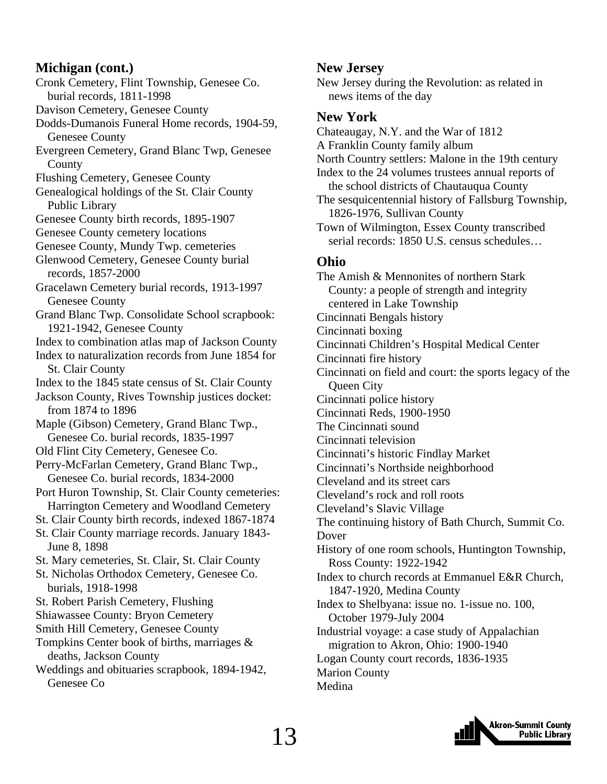### **Michigan (cont.)**

Cronk Cemetery, Flint Township, Genesee Co. burial records, 1811-1998 Davison Cemetery, Genesee County Dodds-Dumanois Funeral Home records, 1904-59, Genesee County Evergreen Cemetery, Grand Blanc Twp, Genesee County Flushing Cemetery, Genesee County Genealogical holdings of the St. Clair County Public Library Genesee County birth records, 1895-1907 Genesee County cemetery locations Genesee County, Mundy Twp. cemeteries Glenwood Cemetery, Genesee County burial records, 1857-2000 Gracelawn Cemetery burial records, 1913-1997 Genesee County Grand Blanc Twp. Consolidate School scrapbook: 1921-1942, Genesee County Index to combination atlas map of Jackson County Index to naturalization records from June 1854 for St. Clair County Index to the 1845 state census of St. Clair County Jackson County, Rives Township justices docket: from 1874 to 1896 Maple (Gibson) Cemetery, Grand Blanc Twp., Genesee Co. burial records, 1835-1997 Old Flint City Cemetery, Genesee Co. Perry-McFarlan Cemetery, Grand Blanc Twp., Genesee Co. burial records, 1834-2000 Port Huron Township, St. Clair County cemeteries: Harrington Cemetery and Woodland Cemetery St. Clair County birth records, indexed 1867-1874 St. Clair County marriage records. January 1843- June 8, 1898 St. Mary cemeteries, St. Clair, St. Clair County St. Nicholas Orthodox Cemetery, Genesee Co. burials, 1918-1998 St. Robert Parish Cemetery, Flushing Shiawassee County: Bryon Cemetery Smith Hill Cemetery, Genesee County Tompkins Center book of births, marriages & deaths, Jackson County Weddings and obituaries scrapbook, 1894-1942, Genesee Co

### **New Jersey**

New Jersey during the Revolution: as related in news items of the day

### **New York**

Chateaugay, N.Y. and the War of 1812 A Franklin County family album North Country settlers: Malone in the 19th century Index to the 24 volumes trustees annual reports of the school districts of Chautauqua County The sesquicentennial history of Fallsburg Township, 1826-1976, Sullivan County Town of Wilmington, Essex County transcribed serial records: 1850 U.S. census schedules… **Ohio**  The Amish & Mennonites of northern Stark County: a people of strength and integrity centered in Lake Township Cincinnati Bengals history Cincinnati boxing Cincinnati Children's Hospital Medical Center Cincinnati fire history Cincinnati on field and court: the sports legacy of the Queen City Cincinnati police history Cincinnati Reds, 1900-1950 The Cincinnati sound Cincinnati television Cincinnati's historic Findlay Market Cincinnati's Northside neighborhood Cleveland and its street cars Cleveland's rock and roll roots Cleveland's Slavic Village The continuing history of Bath Church, Summit Co. Dover History of one room schools, Huntington Township, Ross County: 1922-1942 Index to church records at Emmanuel E&R Church, 1847-1920, Medina County Index to Shelbyana: issue no. 1-issue no. 100, October 1979-July 2004 Industrial voyage: a case study of Appalachian migration to Akron, Ohio: 1900-1940 Logan County court records, 1836-1935 Marion County Medina

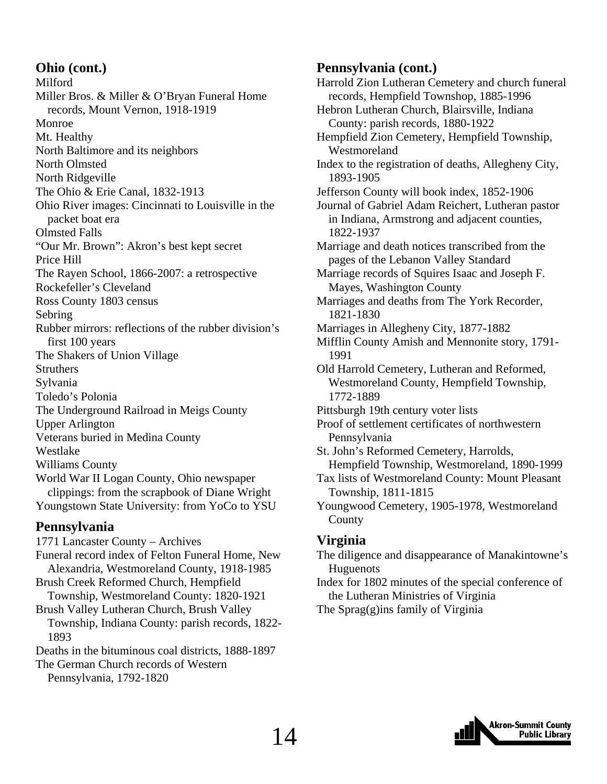### **Ohio (cont.)**

Milford Miller Bros. & Miller & O'Bryan Funeral Home records, Mount Vernon, 1918-1919 Monroe Mt. Healthy North Baltimore and its neighbors North Olmsted North Ridgeville The Ohio & Erie Canal, 1832-1913 Ohio River images: Cincinnati to Louisville in the packet boat era Olmsted Falls "Our Mr. Brown": Akron's best kept secret Price Hill The Rayen School, 1866-2007: a retrospective Rockefeller's Cleveland Ross County 1803 census Sebring Rubber mirrors: reflections of the rubber division's first 100 years The Shakers of Union Village Struthers Sylvania Toledo's Polonia The Underground Railroad in Meigs County Upper Arlington Veterans buried in Medina County Westlake Williams County World War II Logan County, Ohio newspaper clippings: from the scrapbook of Diane Wright Youngstown State University: from YoCo to YSU

### **Pennsylvania**

1771 Lancaster County – Archives Funeral record index of Felton Funeral Home, New Alexandria, Westmoreland County, 1918-1985 Brush Creek Reformed Church, Hempfield Township, Westmoreland County: 1820-1921 Brush Valley Lutheran Church, Brush Valley Township, Indiana County: parish records, 1822- 1893 Deaths in the bituminous coal districts, 1888-1897 The German Church records of Western

Pennsylvania, 1792-1820

### **Pennsylvania (cont.)**

Harrold Zion Lutheran Cemetery and church funeral records, Hempfield Townshop, 1885-1996 Hebron Lutheran Church, Blairsville, Indiana County: parish records, 1880-1922 Hempfield Zion Cemetery, Hempfield Township, Westmoreland Index to the registration of deaths, Allegheny City, 1893-1905 Jefferson County will book index, 1852-1906 Journal of Gabriel Adam Reichert, Lutheran pastor in Indiana, Armstrong and adjacent counties, 1822-1937 Marriage and death notices transcribed from the pages of the Lebanon Valley Standard Marriage records of Squires Isaac and Joseph F. Mayes, Washington County Marriages and deaths from The York Recorder, 1821-1830 Marriages in Allegheny City, 1877-1882 Mifflin County Amish and Mennonite story, 1791- 1991 Old Harrold Cemetery, Lutheran and Reformed, Westmoreland County, Hempfield Township, 1772-1889 Pittsburgh 19th century voter lists Proof of settlement certificates of northwestern Pennsylvania St. John's Reformed Cemetery, Harrolds, Hempfield Township, Westmoreland, 1890-1999 Tax lists of Westmoreland County: Mount Pleasant Township, 1811-1815 Youngwood Cemetery, 1905-1978, Westmoreland County **Virginia** 

The diligence and disappearance of Manakintowne's Huguenots

Index for 1802 minutes of the special conference of the Lutheran Ministries of Virginia

The Sprag(g)ins family of Virginia

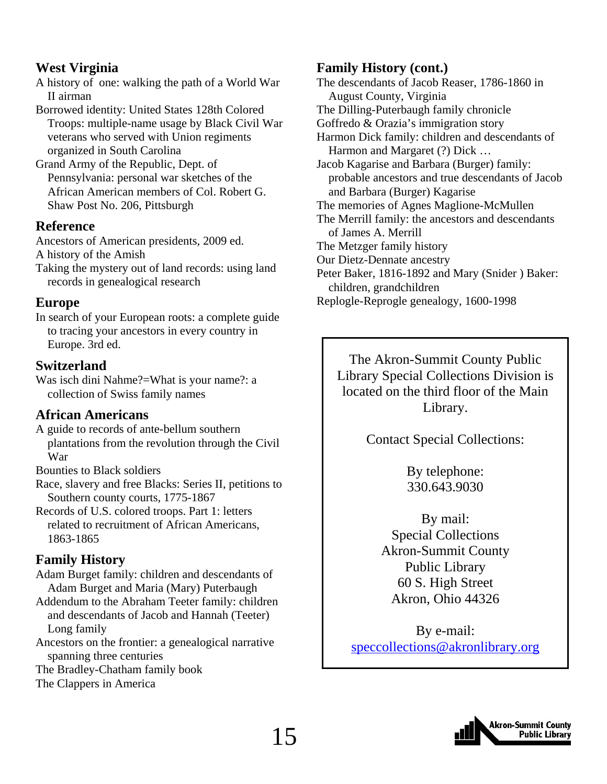### **West Virginia**

A history of one: walking the path of a World War II airman

Borrowed identity: United States 128th Colored Troops: multiple-name usage by Black Civil War veterans who served with Union regiments organized in South Carolina

Grand Army of the Republic, Dept. of Pennsylvania: personal war sketches of the African American members of Col. Robert G. Shaw Post No. 206, Pittsburgh

### **Reference**

Ancestors of American presidents, 2009 ed. A history of the Amish

Taking the mystery out of land records: using land records in genealogical research

#### **Europe**

In search of your European roots: a complete guide to tracing your ancestors in every country in Europe. 3rd ed.

### **Switzerland**

Was isch dini Nahme?=What is your name?: a collection of Swiss family names

### **African Americans**

A guide to records of ante-bellum southern plantations from the revolution through the Civil War

Bounties to Black soldiers

Race, slavery and free Blacks: Series II, petitions to Southern county courts, 1775-1867

Records of U.S. colored troops. Part 1: letters related to recruitment of African Americans, 1863-1865

### **Family History**

Adam Burget family: children and descendants of Adam Burget and Maria (Mary) Puterbaugh

Addendum to the Abraham Teeter family: children and descendants of Jacob and Hannah (Teeter) Long family

Ancestors on the frontier: a genealogical narrative spanning three centuries

The Bradley-Chatham family book

The Clappers in America

### **Family History (cont.)**

The descendants of Jacob Reaser, 1786-1860 in August County, Virginia The Dilling-Puterbaugh family chronicle Goffredo & Orazia's immigration story Harmon Dick family: children and descendants of Harmon and Margaret (?) Dick … Jacob Kagarise and Barbara (Burger) family: probable ancestors and true descendants of Jacob and Barbara (Burger) Kagarise The memories of Agnes Maglione-McMullen The Merrill family: the ancestors and descendants of James A. Merrill The Metzger family history Our Dietz-Dennate ancestry Peter Baker, 1816-1892 and Mary (Snider ) Baker: children, grandchildren Replogle-Reprogle genealogy, 1600-1998

The Akron-Summit County Public Library Special Collections Division is located on the third floor of the Main Library.

### Contact Special Collections:

By telephone: 330.643.9030

By mail: Special Collections Akron-Summit County Public Library 60 S. High Street Akron, Ohio 44326

By e-mail: speccollections@akronlibrary.org